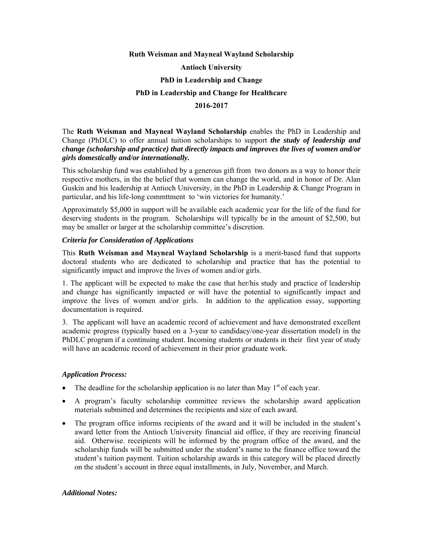# **Ruth Weisman and Mayneal Wayland Scholarship Antioch University PhD in Leadership and Change PhD in Leadership and Change for Healthcare 2016-2017**

The **Ruth Weisman and Mayneal Wayland Scholarship** enables the PhD in Leadership and Change (PhDLC) to offer annual tuition scholarships to support *the study of leadership and change (scholarship and practice) that directly impacts and improves the lives of women and/or girls domestically and/or internationally.*

This scholarship fund was established by a generous gift from two donors as a way to honor their respective mothers, in the the belief that women can change the world, and in honor of Dr. Alan Guskin and his leadership at Antioch University, in the PhD in Leadership & Change Program in particular, and his life-long commttment to 'win victories for humanity.'

Approximately \$5,000 in support will be available each academic year for the life of the fund for deserving students in the program. Scholarships will typically be in the amount of \$2,500, but may be smaller or larger at the scholarship committee's discretion.

## *Criteria for Consideration of Applications*

This **Ruth Weisman and Mayneal Wayland Scholarship** is a merit-based fund that supports doctoral students who are dedicated to scholarship and practice that has the potential to significantly impact and improve the lives of women and/or girls.

1. The applicant will be expected to make the case that her/his study and practice of leadership and change has significantly impacted or will have the potential to significantly impact and improve the lives of women and/or girls. In addition to the application essay, supporting documentation is required.

3. The applicant will have an academic record of achievement and have demonstrated excellent academic progress (typically based on a 3-year to candidacy/one-year dissertation model) in the PhDLC program if a continuing student. Incoming students or students in their first year of study will have an academic record of achievement in their prior graduate work.

## *Application Process:*

- The deadline for the scholarship application is no later than May  $1<sup>st</sup>$  of each year.
- A program's faculty scholarship committee reviews the scholarship award application materials submitted and determines the recipients and size of each award.
- The program office informs recipients of the award and it will be included in the student's award letter from the Antioch University financial aid office, if they are receiving financial aid. Otherwise. receipients will be informed by the program office of the award, and the scholarship funds will be submitted under the student's name to the finance office toward the student's tuition payment. Tuition scholarship awards in this category will be placed directly on the student's account in three equal installments, in July, November, and March.

## *Additional Notes:*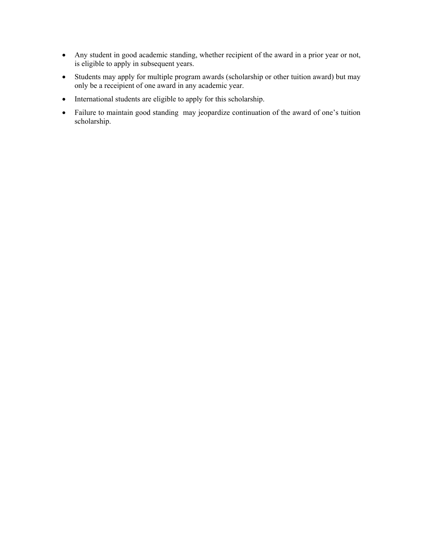- Any student in good academic standing, whether recipient of the award in a prior year or not, is eligible to apply in subsequent years.
- Students may apply for multiple program awards (scholarship or other tuition award) but may only be a receipient of one award in any academic year.
- International students are eligible to apply for this scholarship.
- Failure to maintain good standing may jeopardize continuation of the award of one's tuition scholarship.